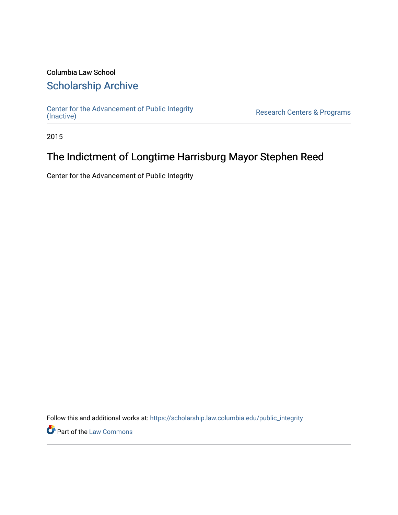# Columbia Law School [Scholarship Archive](https://scholarship.law.columbia.edu/)

[Center for the Advancement of Public Integrity](https://scholarship.law.columbia.edu/public_integrity)<br>(Inactive)

Research Centers & Programs

2015

# The Indictment of Longtime Harrisburg Mayor Stephen Reed

Center for the Advancement of Public Integrity

Follow this and additional works at: [https://scholarship.law.columbia.edu/public\\_integrity](https://scholarship.law.columbia.edu/public_integrity?utm_source=scholarship.law.columbia.edu%2Fpublic_integrity%2F100&utm_medium=PDF&utm_campaign=PDFCoverPages)

**Part of the [Law Commons](http://network.bepress.com/hgg/discipline/578?utm_source=scholarship.law.columbia.edu%2Fpublic_integrity%2F100&utm_medium=PDF&utm_campaign=PDFCoverPages)**